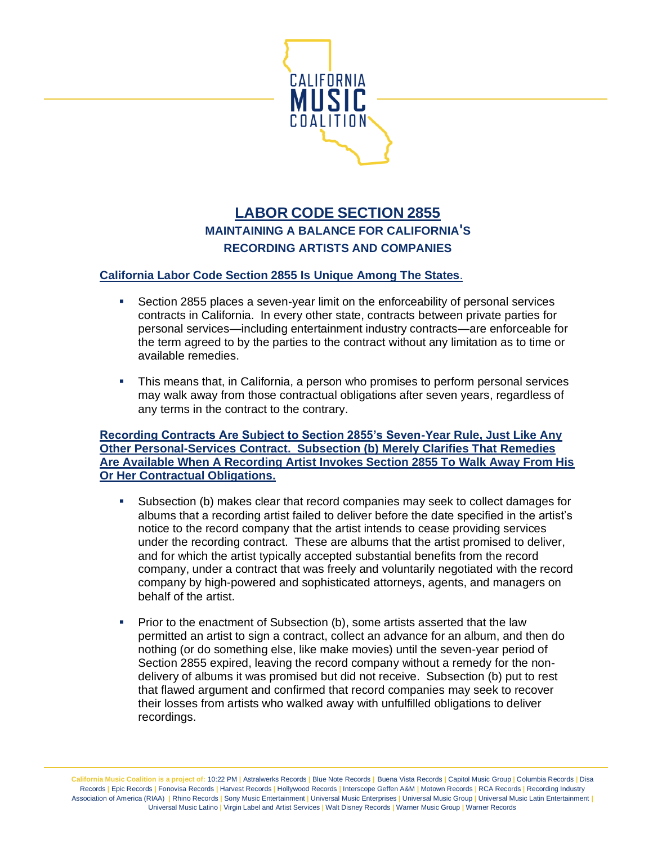

## **LABOR CODE SECTION 2855 MAINTAINING A BALANCE FOR CALIFORNIA'S RECORDING ARTISTS AND COMPANIES**

## **California Labor Code Section 2855 Is Unique Among The States**.

- **EXECT** Section 2855 places a seven-year limit on the enforceability of personal services contracts in California. In every other state, contracts between private parties for personal services—including entertainment industry contracts—are enforceable for the term agreed to by the parties to the contract without any limitation as to time or available remedies.
- This means that, in California, a person who promises to perform personal services may walk away from those contractual obligations after seven years, regardless of any terms in the contract to the contrary.

**Recording Contracts Are Subject to Section 2855's Seven-Year Rule, Just Like Any Other Personal-Services Contract. Subsection (b) Merely Clarifies That Remedies Are Available When A Recording Artist Invokes Section 2855 To Walk Away From His Or Her Contractual Obligations.** 

- Subsection (b) makes clear that record companies may seek to collect damages for albums that a recording artist failed to deliver before the date specified in the artist's notice to the record company that the artist intends to cease providing services under the recording contract. These are albums that the artist promised to deliver, and for which the artist typically accepted substantial benefits from the record company, under a contract that was freely and voluntarily negotiated with the record company by high-powered and sophisticated attorneys, agents, and managers on behalf of the artist.
- **•** Prior to the enactment of Subsection (b), some artists asserted that the law permitted an artist to sign a contract, collect an advance for an album, and then do nothing (or do something else, like make movies) until the seven-year period of Section 2855 expired, leaving the record company without a remedy for the nondelivery of albums it was promised but did not receive. Subsection (b) put to rest that flawed argument and confirmed that record companies may seek to recover their losses from artists who walked away with unfulfilled obligations to deliver recordings.

**California Music Coalition is a project of:** 10:22 PM **|** Astralwerks Records **|** Blue Note Records **|** Buena Vista Records **|** Capitol Music Group **|** Columbia Records **|** Disa Records **|** Epic Records **|** Fonovisa Records **|** Harvest Records **|** Hollywood Records **|** Interscope Geffen A&M **|** Motown Records **|** RCA Records **|** Recording Industry Association of America (RIAA) **|** Rhino Records **|** Sony Music Entertainment **|** Universal Music Enterprises **|** Universal Music Group **|** Universal Music Latin Entertainment **|**  Universal Music Latino **|** Virgin Label and Artist Services **|** Walt Disney Records **|** Warner Music Group **|** Warner Records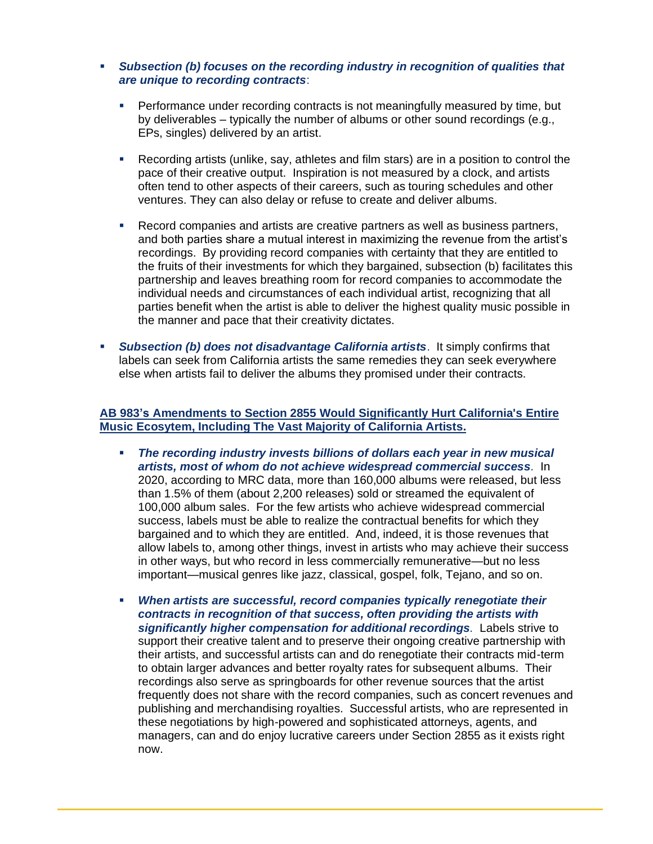## ▪ *Subsection (b) focuses on the recording industry in recognition of qualities that are unique to recording contracts*:

- **•** Performance under recording contracts is not meaningfully measured by time, but by deliverables – typically the number of albums or other sound recordings (e.g., EPs, singles) delivered by an artist.
- Recording artists (unlike, say, athletes and film stars) are in a position to control the pace of their creative output. Inspiration is not measured by a clock, and artists often tend to other aspects of their careers, such as touring schedules and other ventures. They can also delay or refuse to create and deliver albums.
- Record companies and artists are creative partners as well as business partners, and both parties share a mutual interest in maximizing the revenue from the artist's recordings. By providing record companies with certainty that they are entitled to the fruits of their investments for which they bargained, subsection (b) facilitates this partnership and leaves breathing room for record companies to accommodate the individual needs and circumstances of each individual artist, recognizing that all parties benefit when the artist is able to deliver the highest quality music possible in the manner and pace that their creativity dictates.
- **Subsection (b) does not disadvantage California artists.** It simply confirms that labels can seek from California artists the same remedies they can seek everywhere else when artists fail to deliver the albums they promised under their contracts.

## **AB 983's Amendments to Section 2855 Would Significantly Hurt California's Entire Music Ecosytem, Including The Vast Majority of California Artists.**

- *The recording industry invests billions of dollars each year in new musical artists, most of whom do not achieve widespread commercial success.* In 2020, according to MRC data, more than 160,000 albums were released, but less than 1.5% of them (about 2,200 releases) sold or streamed the equivalent of 100,000 album sales. For the few artists who achieve widespread commercial success, labels must be able to realize the contractual benefits for which they bargained and to which they are entitled. And, indeed, it is those revenues that allow labels to, among other things, invest in artists who may achieve their success in other ways, but who record in less commercially remunerative—but no less important—musical genres like jazz, classical, gospel, folk, Tejano, and so on.
- When artists are successful, record companies typically renegotiate their *contracts in recognition of that success, often providing the artists with significantly higher compensation for additional recordings.* Labels strive to support their creative talent and to preserve their ongoing creative partnership with their artists, and successful artists can and do renegotiate their contracts mid-term to obtain larger advances and better royalty rates for subsequent albums. Their recordings also serve as springboards for other revenue sources that the artist frequently does not share with the record companies, such as concert revenues and publishing and merchandising royalties. Successful artists, who are represented in these negotiations by high-powered and sophisticated attorneys, agents, and managers, can and do enjoy lucrative careers under Section 2855 as it exists right now.

l